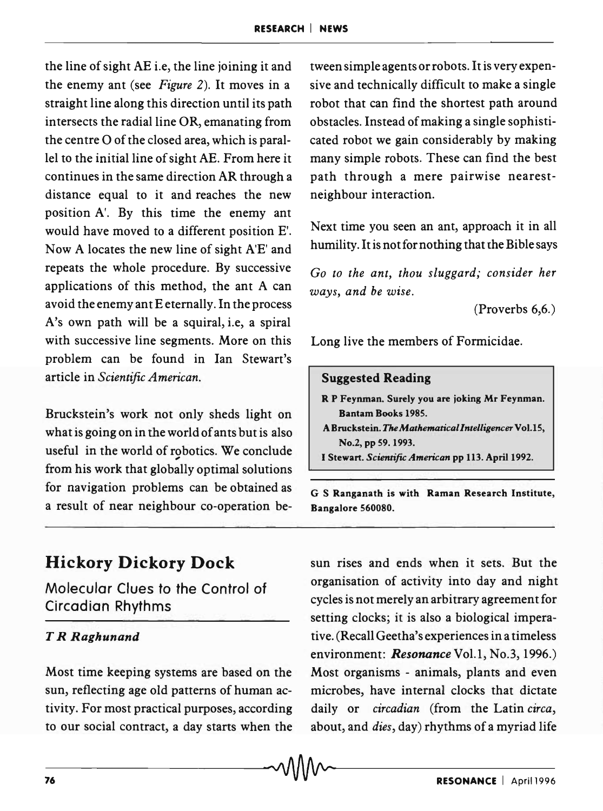the line of sight AE i.e, the line joining it and the enemy ant (see *Figure* 2). It moves in a straight line along this direction until its path intersects the radial line OR, emanating from the centre 0 of the closed area, which is parallel to the initial line of sight AE. From here it continues in the same direction AR through a distance equal to it and reaches the new position A'. By this time the enemy ant would have moved to a different position E'. Now A locates the new line of sight A'E' and repeats the whole procedure. By successive applications of this method, the ant A can avoid the enemy ant E eternally. In the process A's own path will be a squiral, i.e, a spiral with successive line segments. More on this problem can be found in Ian Stewart's article in *Scientific American.* 

Bruckstein's work not only sheds light on what is going on in the world of ants but is also useful in the world of robotics. We conclude from his work that globally optimal solutions for navigation problems can be obtained as a result of near neighbour co-operation be-

# **Hickory Dickory Dock**

Molecular Clues to the Control of Circadian Rhythms

# T *R Raghunand*

Most time keeping systems are based on the sun, reflecting age old patterns of human activity. For most practical purposes, according to our social contract, a day starts when the tween simple agents or robots. It is very expensive and technically difficult to make a single robot that can find the shortest path around obstacles. Instead of making a single sophisticated robot we gain considerably by making many simple robots. These can find the best path through a mere pairwise nearestneighbour interaction.

Next time you seen an ant, approach it in all humility. It is not for nothing that the Bible says

*Go to the ant, thou sluggard; consider her ways, and be wise.* 

(Proverbs 6,6.)

Long live the members of Formicidae.

# Suggested Reading

- R P Feynman. Surely you are joking Mr Feynman. Bantam Books 1985.
- A Bruckstein. The *Mathematicallntelligencer* Vo1.l5, No.2, pp 59.1993.
- I Stewart. *Scientific American* pp 113. April 1992 .

G S Ranganath is with Raman Research Institute, Bangalore 560080.

sun rises and ends when it sets. But the organisation of activity into day and night cycles is not merely an arbitrary agreement for setting clocks; it is also a biological imperative. (Recall Geetha's experiences in a timeless environment: Resonance Vol.1, No.3, 1996.) Most organisms - animals, plants and even microbes, have internal clocks that dictate daily or *circadian* (from the Latin *circa,*  about, and *dies,* day) rhythms of a myriad life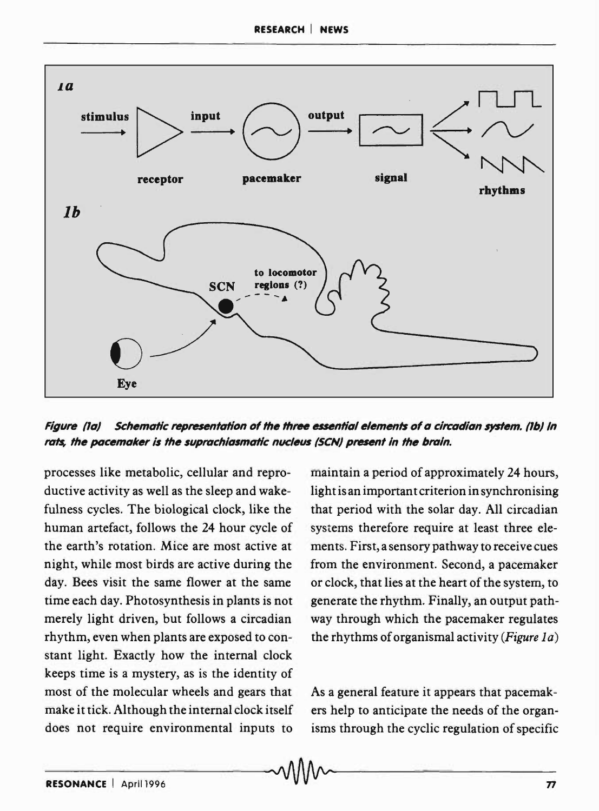

Figure (Ia) Schematic representation of the three essential elements of a circadian system. (Ib) In rats, the pacemaker is the suprachiasmatic nucleus (SCN) present in the brain.

processes like metabolic, cellular and reproductive activity as well as the sleep and wakefulness cycles. The biological clock, like the human artefact, follows the 24 hour cycle of the earth's rotation. Mice are most active at night, while most birds are active during the day. Bees visit the same flower at the same time each day. Photosynthesis in plants is not merely light driven, but follows a circadian rhythm, even when plants are exposed to constant light. Exactly how the internal clock keeps time is a mystery, as is the identity of most of the molecular wheels and gears that make it tick. Although the internal clock itself does not require environmental inputs to maintain a period of approximately 24 hours, light is an important criterion in synchronising that period with the solar day. All circadian systems therefore require at least three elements. First, a sensory pathway to receive cues from the environment. Second, a pacemaker or clock, that lies at the heart of the system, to generate the rhythm. Finally, an output pathway through which the pacemaker regulates the rhythms of organismal activity *(Figure 1a)* 

As a general feature it appears that pacemakers help to anticipate the needs of the organisms through the cyclic regulation of specific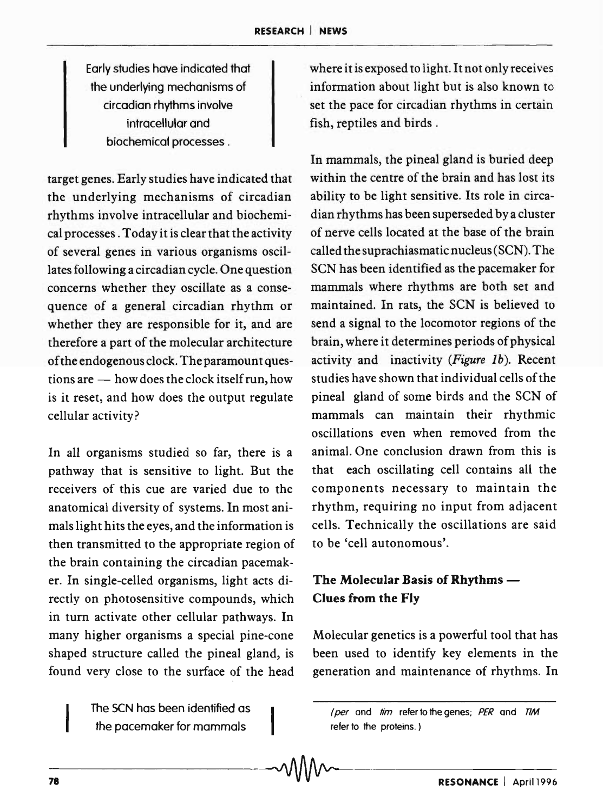Early studies have indicated that the underlying mechanisms of circadian rhythms involve intracellular and biochemical processes.

target genes. Early studies have indicated that the underlying mechanisms of circadian rhythms involve intracellular and biochemical processes. Today it is clear that the activity of several genes in various organisms oscillates following a circadian cycle. One question concerns whether they oscillate as a consequence of a general circadian rhythm or whether they are responsible for it, and are therefore a part of the molecular architecture of the endogenous clock. The paramount questions are  $-$  how does the clock itself run, how is it reset, and how does the output regulate cellular activity?

In all organisms studied so far, there is a pathway that is sensitive to light. But the receivers of this cue are varied due to the anatomical diversity of systems. In most animals light hits the eyes, and the information is then transmitted to the appropriate region of the brain containing the circadian pacemaker. In single-celled organisms, light acts directly on photosensitive compounds, which in turn activate other cellular pathways. In many higher organisms a special pine-cone shaped structure called the pineal gland, is found very close to the surface of the head

> The SCN has been identified as the pacemaker for mammals

where it is exposed to light. Itnot only receives information about light but is also known to set the pace for circadian rhythms in certain fish, reptiles and birds.

In mammals, the pineal gland is buried deep within the centre of the brain and has lost its ability to be light sensitive. Its role in circadian rhythms has been superseded by a cluster of nerve cells located at the base of the brain called the suprachias matic nucleus (SCN). The SCN has been identified as the pacemaker for mammals where rhythms are both set and maintained. In rats, the SCN is believed to send a signal to the locomotor regions of the brain, where it determines periods of physical activity and inactivity *(Figure Ib).* Recent studies have shown that individual cells of the pineal gland of some birds and the SCN of mammals can maintain their rhythmic oscillations even when removed from the animal. One conclusion drawn from this is that each oscillating cell contains all the components necessary to maintain the rhythm, requiring no input from adjacent cells. Technically the oscillations are said to be 'cell autonomous'.

# The Molecular Basis of Rhythms -Clues from the Fly

Molecular genetics is a powerful tool that has been used to identify key elements in the generation and maintenance of rhythms. In

<sup>(</sup>per and  $\lim$  refer to the genes; PER and  $TM$ refer to the proteins.)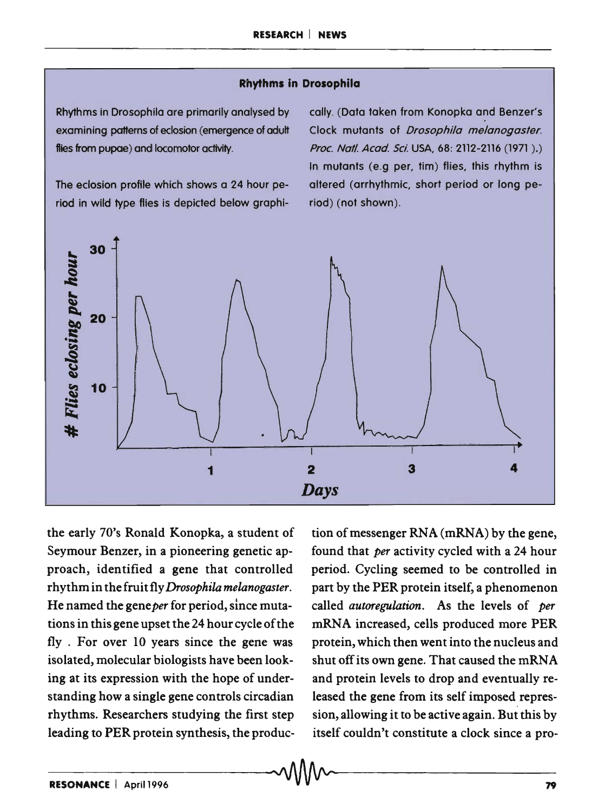#### **Rhythms in Drosophila**

Rhythms in Drosophila are primarily analysed by examining pattems of eclosion (emergence of adult flies from pupae) and locomotor activity.

The eclosion profile which shows a 24 hour period in wild type flies is depicted below graphi-

cally. (Data taken from Konopka and Benzer's Clock mutants of *Drosophila melanogaster*. Proc. Natl. Acad. Sci. USA, 68: 2112-2116 (1971 ).) In mutants (e.g per, tim) flies, this rhythm is altered (arrhythmic, short period or long period) (not shown).



the early 70's Ronald Konopka, a student of Seymour Benzer, in a pioneering genetic approach, identified a gene that controlled rhythm in the fruit fly *Drosophila melanogaster.*  He named the geneper for period, since mutations in this gene upset the 24 hour cycle of the fly . For over 10 years since the gene was isolated, molecular biologists have been looking at its expression with the hope of understanding how a single gene controls circadian rhythms. Researchers studying the first step leading to PER protein synthesis, the produc-

tion of messenger RNA (mRNA) by the gene, found that *per* activity cycled with a 24 hour period. Cycling seemed to be controlled in part by the PER protein itself, a phenomenon called *autoregulation.* As the levels of *per*  mRNA increased, cells produced more PER protein, which then went into the nucleus and shut off its own gene. That caused the mRNA and protein levels to drop and eventually released the gene from its self imposed repression, allowing it to be active again. But this by itself couldn't constitute a clock since a pro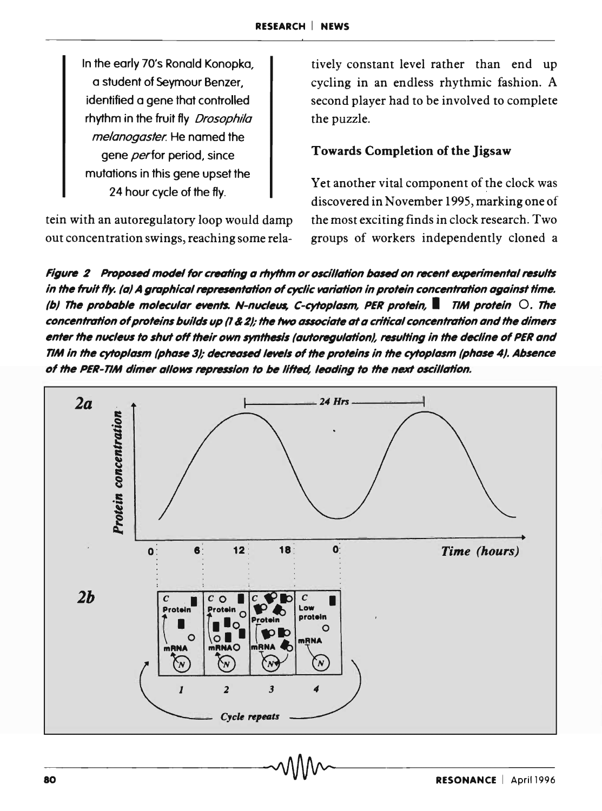In the early 70's Ronald Konopka, a student of Seymour Benzer, identified a gene that controlled rhythm in the fruit fly *Drosophila* melanogaster. He named the gene *per* for period, since mutations in this gene upset the 24 hour cycle of the fly.

tein with an autoregulatory loop would damp out concentration swings, reaching some relatively constant level rather than end up cycling in an endless rhythmic fashion. A second player had to be involved to complete the puzzle.

# Towards Completion of the Jigsaw

Yet another vital component of the clock was discovered in November 1995, marking one of the most exciting finds in clock research. Two groups of workers independently cloned a

Figure 2 Proposed model for creating a rhythm or oscillation based on recent experimental results in the fruit fly. (a) A graphical representation of cyclic variation in protein concentration against time. (b) The probable molecular events. N-nucleus, C-cytoplasm, PER protein,  $\blacksquare$  TIM protein  $\bigcirc$ . The concentration of proteins builds up (1 & 2); the two associate at a critical concentration and the dimers enter the nucleus to shut off their own synthesis (autoregulation), resulting in the decline of PER and TIM in the cytoplasm (phase 3); decreased levels of the proteins in the cytoplasm (phase 4). Absence of the PER-TIM dimer allows repression to be lifted, leading to the next oscillation.